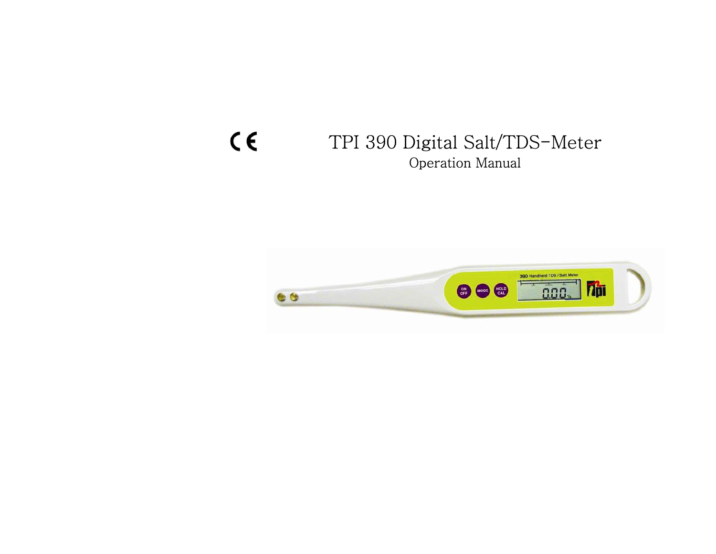# $C \in$ TPI 390 Digital Salt/TDS-Meter Operation Manual

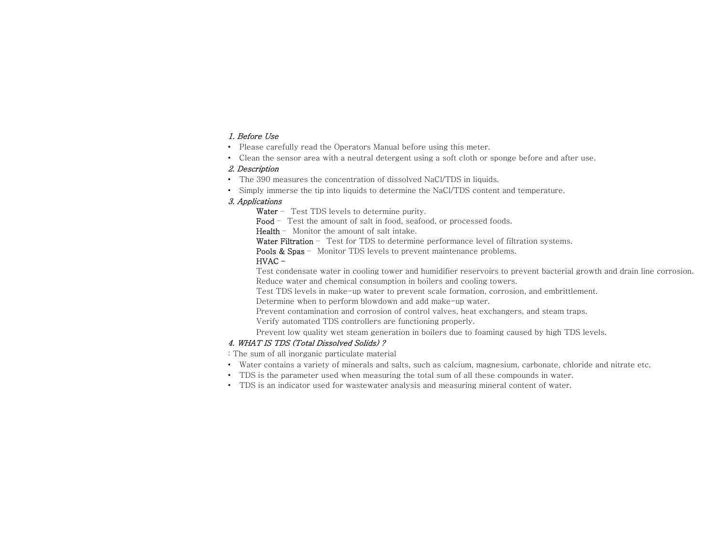### 1. Before Use

- Please carefully read the Operators Manual before using this meter.
- Clean the sensor area with a neutral detergent using a soft cloth or sponge before and after use.

#### 2. Description

- The 390 measures the concentration of dissolved NaCl/TDS in liquids.
- Simply immerse the tip into liquids to determine the NaCl/TDS content and temperature.

#### 3. Applications

- Water Test TDS levels to determine purity.
- Food Test the amount of salt in food, seafood, or processed foods.
- Health Monitor the amount of salt intake.
- Water Filtration Test for TDS to determine performance level of filtration systems.
- Pools & Spas Monitor TDS levels to prevent maintenance problems.

#### HVAC –

Test condensate water in cooling tower and humidifier reservoirs to prevent bacterial growth and drain line corrosion. Reduce water and chemical consumption in boilers and cooling towers.

- Test TDS levels in make-up water to prevent scale formation, corrosion, and embrittlement.
- Determine when to perform blowdown and add make-up water.
- Prevent contamination and corrosion of control valves, heat exchangers, and steam traps.
- Verify automated TDS controllers are functioning properly.
- Prevent low quality wet steam generation in boilers due to foaming caused by high TDS levels.

### 4. WHAT IS TDS (Total Dissolved Solids) ?

: The sum of all inorganic particulate material

- Water contains a variety of minerals and salts, such as calcium, magnesium, carbonate, chloride and nitrate etc.
- TDS is the parameter used when measuring the total sum of all these compounds in water.
- TDS is an indicator used for wastewater analysis and measuring mineral content of water.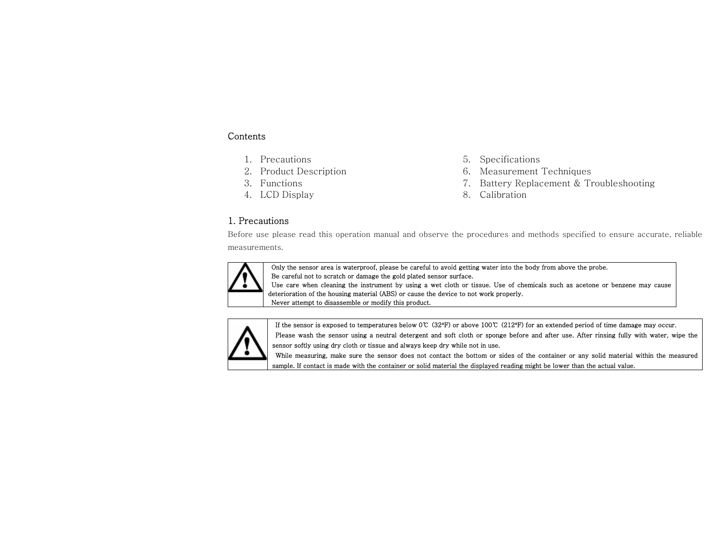# **Contents**

- 
- 
- 
- 4. LCD Display 8. Calibration
- 1. Precautions 6. Specifications
- 2. Product Description 6. Measurement Techniques
- 3. Functions 7. Battery Replacement & Troubleshooting
	-

# 1. Precautions

Before use please read this operation manual and observe the procedures and methods specified to ensure accurate, reliable measurements.



Only the sensor area is waterproof, please be careful to avoid getting water into the body from above the probe. Be careful not to scratch or damage the gold plated sensor surface. Use care when cleaning the instrument by using a wet cloth or tissue. Use of chemicals such as acetone or benzene may cause deterioration of the housing material (ABS) or cause the device to not work properly. Never attempt to disassemble or modify this product.



If the sensor is exposed to temperatures below 0℃ (32°F) or above 100℃ (212°F) for an extended period of time damage may occur. Please wash the sensor using a neutral detergent and soft cloth or sponge before and after use. After rinsing fully with water, wipe the sensor softly using dry cloth or tissue and always keep dry while not in use.

While measuring, make sure the sensor does not contact the bottom or sides of the container or any solid material within the measured sample. If contact is made with the container or solid material the displayed reading might be lower than the actual value.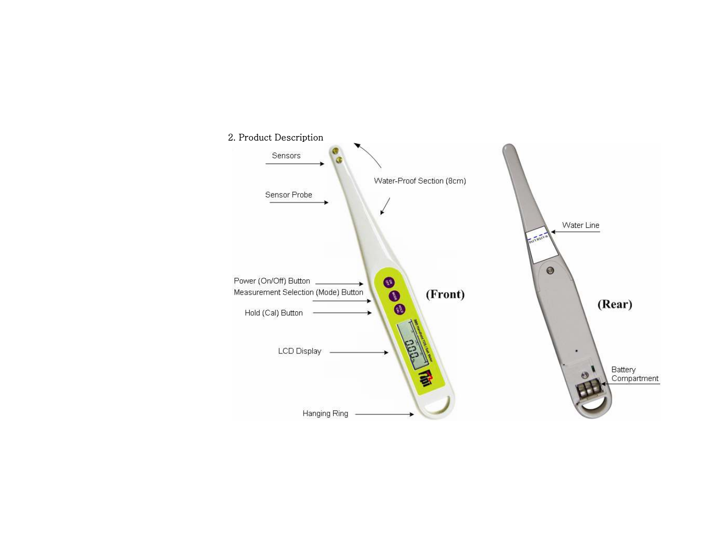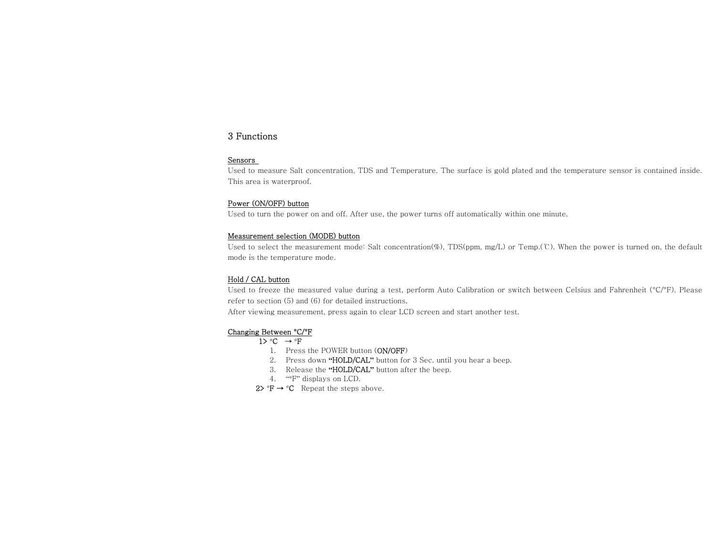## 3 Functions

#### Sensors

Used to measure Salt concentration, TDS and Temperature. The surface is gold plated and the temperature sensor is contained inside. This area is waterproof.

#### Power (ON/OFF) button

Used to turn the power on and off. After use, the power turns off automatically within one minute.

#### Measurement selection (MODE) button

Used to select the measurement mode: Salt concentration(%), TDS(ppm, mg/L) or Temp.(℃). When the power is turned on, the default mode is the temperature mode.

#### Hold / CAL button

Used to freeze the measured value during a test, perform Auto Calibration or switch between Celsius and Fahrenheit (°C/°F). Please refer to section (5) and (6) for detailed instructions.

After viewing measurement, press again to clear LCD screen and start another test.

#### Changing Between °C/°F

## $1> \degree C \rightarrow \degree F$

- 1. Press the POWER button (ON/OFF)
- 2. Press down **"**HOLD/CAL**"** button for 3 Sec. until you hear a beep.
- 3. Release the **"**HOLD/CAL**"** button after the beep.
- 4. "°F" displays on LCD.
- 2> **°**F → **°**C Repeat the steps above.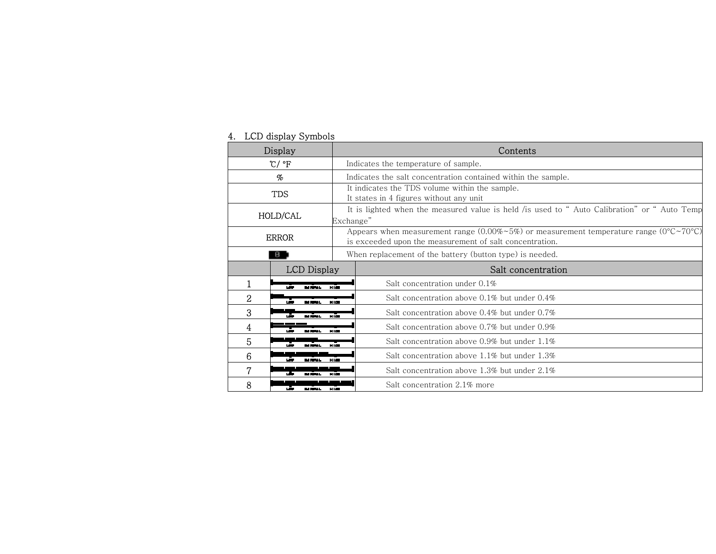# 4. LCD display Symbols

| Display                                | Contents                                                                                                                                         |  |  |  |  |  |  |  |
|----------------------------------------|--------------------------------------------------------------------------------------------------------------------------------------------------|--|--|--|--|--|--|--|
| $^{\circ}C/^{\circ}F$                  | Indicates the temperature of sample.                                                                                                             |  |  |  |  |  |  |  |
| %                                      | Indicates the salt concentration contained within the sample.                                                                                    |  |  |  |  |  |  |  |
| <b>TDS</b>                             | It indicates the TDS volume within the sample.<br>It states in 4 figures without any unit                                                        |  |  |  |  |  |  |  |
| HOLD/CAL                               | It is lighted when the measured value is held /is used to "Auto Calibration" or "Auto Temp<br>Exchange"                                          |  |  |  |  |  |  |  |
| ERROR                                  | Appears when measurement range (0.00%~5%) or measurement temperature range (0°C~70°C)<br>is exceeded upon the measurement of salt concentration. |  |  |  |  |  |  |  |
| 母                                      | When replacement of the battery (button type) is needed.                                                                                         |  |  |  |  |  |  |  |
| <b>LCD</b> Display                     | Salt concentration                                                                                                                               |  |  |  |  |  |  |  |
| <b>LAU</b><br><b>NO RENL</b>           | Salt concentration under $0.1\%$<br>нійн                                                                                                         |  |  |  |  |  |  |  |
| $\mathbf{2}$<br><b>LOW</b><br>ic nei L | Salt concentration above $0.1\%$ but under $0.4\%$<br>MION                                                                                       |  |  |  |  |  |  |  |
| 3<br>ыū<br>NG KIMIL.                   | Salt concentration above $0.4\%$ but under $0.7\%$<br><b>MIGH</b>                                                                                |  |  |  |  |  |  |  |
| 4<br>La La                             | Salt concentration above $0.7\%$ but under $0.9\%$<br>MIGH                                                                                       |  |  |  |  |  |  |  |
| 5                                      | Salt concentration above $0.9\%$ but under $1.1\%$<br>нын                                                                                        |  |  |  |  |  |  |  |
| 6                                      | Salt concentration above $1.1\%$ but under $1.3\%$<br>ник                                                                                        |  |  |  |  |  |  |  |
| 7                                      | Salt concentration above 1.3% but under $2.1\%$                                                                                                  |  |  |  |  |  |  |  |
| 8<br><b>LAW</b><br>NG KINAL.           | Salt concentration 2.1% more<br>MIGH                                                                                                             |  |  |  |  |  |  |  |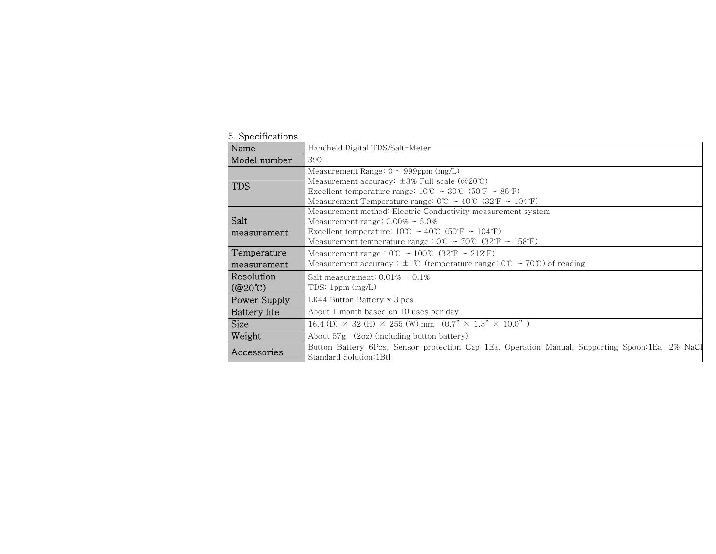| 5. Specifications                          |                                                                                                                            |  |  |  |  |  |  |
|--------------------------------------------|----------------------------------------------------------------------------------------------------------------------------|--|--|--|--|--|--|
| Name                                       | Handheld Digital TDS/Salt-Meter                                                                                            |  |  |  |  |  |  |
| Model number                               | 390                                                                                                                        |  |  |  |  |  |  |
|                                            | Measurement Range: $0 \sim 999$ ppm (mg/L)                                                                                 |  |  |  |  |  |  |
| <b>TDS</b>                                 | Measurement accuracy: $\pm 3\%$ Full scale (@20°C)                                                                         |  |  |  |  |  |  |
|                                            | Excellent temperature range: $10^{\circ}\text{C} \sim 30^{\circ}\text{C}$ (50°F ~ 86°F)                                    |  |  |  |  |  |  |
|                                            | Measurement Temperature range: $0^{\circ}\text{C} \sim 40^{\circ}\text{C} (32^{\circ}\text{F} \sim 104^{\circ}\text{F})$   |  |  |  |  |  |  |
|                                            | Measurement method: Electric Conductivity measurement system                                                               |  |  |  |  |  |  |
| Salt                                       | Measurement range: $0.00\% \sim 5.0\%$                                                                                     |  |  |  |  |  |  |
| measurement                                | Excellent temperature: $10^{\circ}\text{C} \sim 40^{\circ}\text{C}$ (50°F ~ 104°F)                                         |  |  |  |  |  |  |
|                                            | Measurement temperature range : $0^{\circ}\text{C} \sim 70^{\circ}\text{C}$ (32°F ~ 158°F)                                 |  |  |  |  |  |  |
| Temperature                                | Measurement range : $0^{\circ}\text{C} \sim 100^{\circ}\text{C}$ (32°F ~ 212°F)                                            |  |  |  |  |  |  |
| measurement                                | Measurement accuracy: $\pm 1^{\circ}$ (temperature range: $0^{\circ}$ ~ 70°C) of reading                                   |  |  |  |  |  |  |
| Resolution                                 | Salt measurement: $0.01\% \approx 0.1\%$                                                                                   |  |  |  |  |  |  |
| $(\textcircled{a}20^\circ\textcircled{c})$ | TDS: $1ppm$ (mg/L)                                                                                                         |  |  |  |  |  |  |
| Power Supply                               | LR44 Button Battery x 3 pcs                                                                                                |  |  |  |  |  |  |
| Battery life                               | About 1 month based on 10 uses per day                                                                                     |  |  |  |  |  |  |
| <b>Size</b>                                | $16.4$ (D) $\times$ 32 (H) $\times$ 255 (W) mm (0.7" $\times$ 1.3" $\times$ 10.0")                                         |  |  |  |  |  |  |
| Weight                                     | About $57g$ (2oz) (including button battery)                                                                               |  |  |  |  |  |  |
| Accessories                                | Button Battery 6Pcs, Sensor protection Cap 1Ea, Operation Manual, Supporting Spoon:1Ea, 2% NaCl<br>Standard Solution: 1Btl |  |  |  |  |  |  |

5. Specifications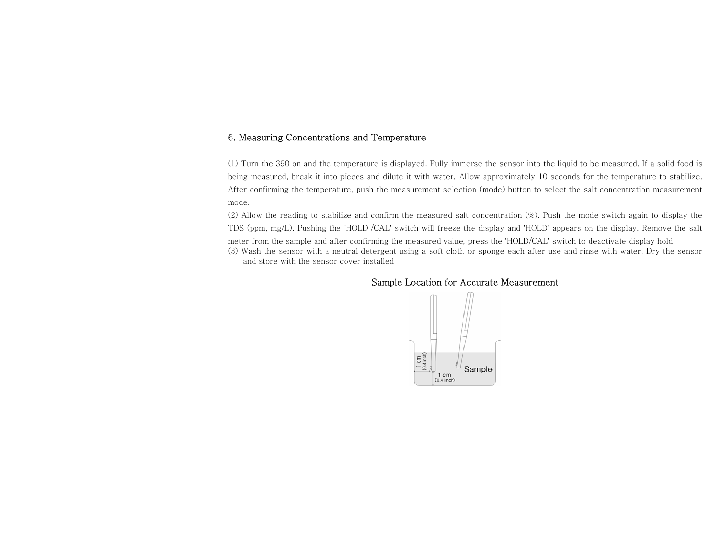# 6. Measuring Concentrations and Temperature

(1) Turn the 390 on and the temperature is displayed. Fully immerse the sensor into the liquid to be measured. If a solid food is being measured, break it into pieces and dilute it with water. Allow approximately 10 seconds for the temperature to stabilize. After confirming the temperature, push the measurement selection (mode) button to select the salt concentration measurement mode.

(2) Allow the reading to stabilize and confirm the measured salt concentration (%). Push the mode switch again to display the TDS (ppm, mg/L). Pushing the 'HOLD /CAL' switch will freeze the display and 'HOLD' appears on the display. Remove the salt meter from the sample and after confirming the measured value, press the 'HOLD/CAL' switch to deactivate display hold. (3) Wash the sensor with a neutral detergent using a soft cloth or sponge each after use and rinse with water. Dry the sensor

and store with the sensor cover installed

## Sample Location for Accurate Measurement